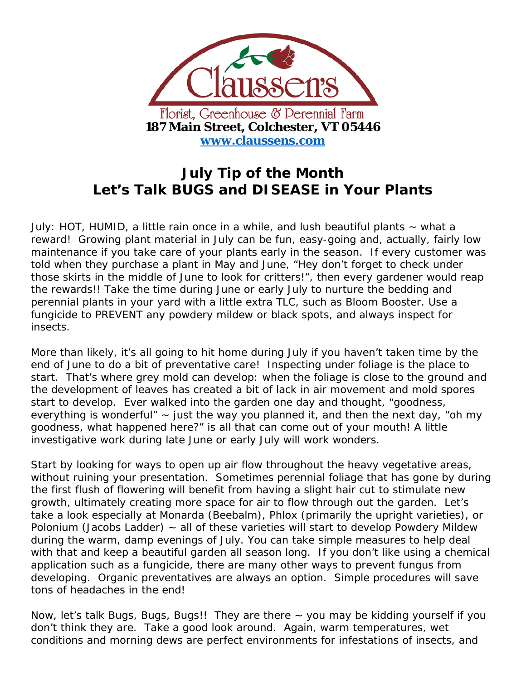

## **July Tip of the Month Let's Talk BUGS and DISEASE in Your Plants**

July: HOT, HUMID, a little rain once in a while, and lush beautiful plants  $\sim$  what a reward! Growing plant material in July can be fun, easy-going and, actually, fairly low maintenance if you take care of your plants early in the season. If every customer was told when they purchase a plant in May and June, "Hey don't forget to check under those skirts in the middle of June to look for critters!", then every gardener would reap the rewards!! Take the time during June or early July to nurture the bedding and perennial plants in your yard with a little extra TLC, such as Bloom Booster. Use a fungicide to PREVENT any powdery mildew or black spots, and always inspect for insects.

More than likely, it's all going to hit home during July if you haven't taken time by the end of June to do a bit of preventative care! Inspecting under foliage is the place to start. That's where grey mold can develop: when the foliage is close to the ground and the development of leaves has created a bit of lack in air movement and mold spores start to develop. Ever walked into the garden one day and thought, "goodness, everything is wonderful"  $\sim$  just the way you planned it, and then the next day, "oh my goodness, what happened here?" is all that can come out of your mouth! A little investigative work during late June or early July will work wonders.

Start by looking for ways to open up air flow throughout the heavy vegetative areas, without ruining your presentation. Sometimes perennial foliage that has gone by during the first flush of flowering will benefit from having a slight hair cut to stimulate new growth, ultimately creating more space for air to flow through out the garden. Let's take a look especially at Monarda (Beebalm), Phlox (primarily the upright varieties), or Polonium (Jacobs Ladder)  $\sim$  all of these varieties will start to develop Powdery Mildew during the warm, damp evenings of July. You can take simple measures to help deal with that and keep a beautiful garden all season long. If you don't like using a chemical application such as a fungicide, there are many other ways to prevent fungus from developing. Organic preventatives are always an option. Simple procedures will save tons of headaches in the end!

Now, let's talk Bugs, Bugs, Bugs!! They are there  $\sim$  you may be kidding yourself if you don't think they are. Take a good look around. Again, warm temperatures, wet conditions and morning dews are perfect environments for infestations of insects, and